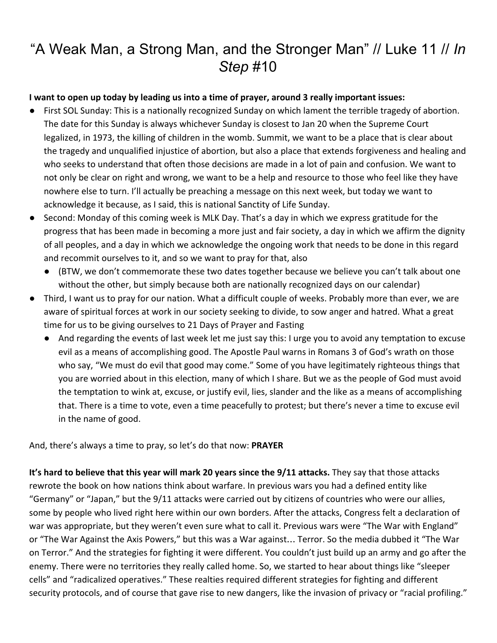# "A Weak Man, a Strong Man, and the Stronger Man" // Luke 11 // *In Step* #10

#### **I want to open up today by leading us into a time of prayer, around 3 really important issues:**

- First SOL Sunday: This is a nationally recognized Sunday on which lament the terrible tragedy of abortion. The date for this Sunday is always whichever Sunday is closest to Jan 20 when the Supreme Court legalized, in 1973, the killing of children in the womb. Summit, we want to be a place that is clear about the tragedy and unqualified injustice of abortion, but also a place that extends forgiveness and healing and who seeks to understand that often those decisions are made in a lot of pain and confusion. We want to not only be clear on right and wrong, we want to be a help and resource to those who feel like they have nowhere else to turn. I'll actually be preaching a message on this next week, but today we want to acknowledge it because, as I said, this is national Sanctity of Life Sunday.
- Second: Monday of this coming week is MLK Day. That's a day in which we express gratitude for the progress that has been made in becoming a more just and fair society, a day in which we affirm the dignity of all peoples, and a day in which we acknowledge the ongoing work that needs to be done in this regard and recommit ourselves to it, and so we want to pray for that, also
	- (BTW, we don't commemorate these two dates together because we believe you can't talk about one without the other, but simply because both are nationally recognized days on our calendar)
- Third, I want us to pray for our nation. What a difficult couple of weeks. Probably more than ever, we are aware of spiritual forces at work in our society seeking to divide, to sow anger and hatred. What a great time for us to be giving ourselves to 21 Days of Prayer and Fasting
	- And regarding the events of last week let me just say this: I urge you to avoid any temptation to excuse evil as a means of accomplishing good. The Apostle Paul warns in Romans 3 of God's wrath on those who say, "We must do evil that good may come." Some of you have legitimately righteous things that you are worried about in this election, many of which I share. But we as the people of God must avoid the temptation to wink at, excuse, or justify evil, lies, slander and the like as a means of accomplishing that. There is a time to vote, even a time peacefully to protest; but there's never a time to excuse evil in the name of good.

And, there's always a time to pray, so let's do that now: **PRAYER**

**It's hard to believe that this year will mark 20 years since the 9/11 attacks.** They say that those attacks rewrote the book on how nations think about warfare. In previous wars you had a defined entity like "Germany" or "Japan," but the 9/11 attacks were carried out by citizens of countries who were our allies, some by people who lived right here within our own borders. After the attacks, Congress felt a declaration of war was appropriate, but they weren't even sure what to call it. Previous wars were "The War with England" or "The War Against the Axis Powers," but this was a War against… Terror. So the media dubbed it "The War on Terror." And the strategies for fighting it were different. You couldn't just build up an army and go after the enemy. There were no territories they really called home. So, we started to hear about things like "sleeper cells" and "radicalized operatives." These realties required different strategies for fighting and different security protocols, and of course that gave rise to new dangers, like the invasion of privacy or "racial profiling."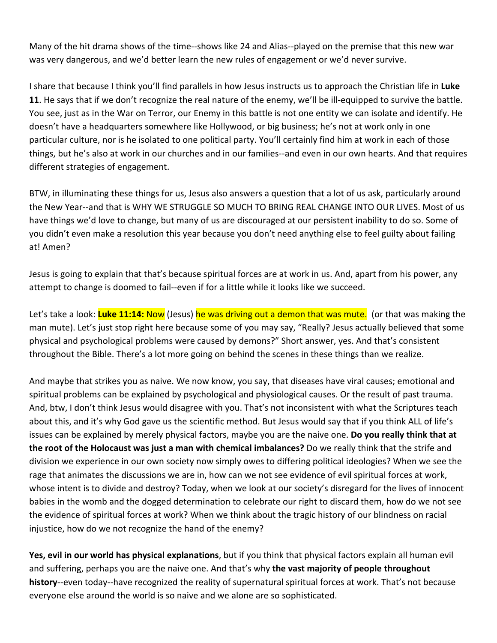Many of the hit drama shows of the time--shows like 24 and Alias--played on the premise that this new war was very dangerous, and we'd better learn the new rules of engagement or we'd never survive.

I share that because I think you'll find parallels in how Jesus instructs us to approach the Christian life in **Luke 11**. He says that if we don't recognize the real nature of the enemy, we'll be ill-equipped to survive the battle. You see, just as in the War on Terror, our Enemy in this battle is not one entity we can isolate and identify. He doesn't have a headquarters somewhere like Hollywood, or big business; he's not at work only in one particular culture, nor is he isolated to one political party. You'll certainly find him at work in each of those things, but he's also at work in our churches and in our families--and even in our own hearts. And that requires different strategies of engagement.

BTW, in illuminating these things for us, Jesus also answers a question that a lot of us ask, particularly around the New Year--and that is WHY WE STRUGGLE SO MUCH TO BRING REAL CHANGE INTO OUR LIVES. Most of us have things we'd love to change, but many of us are discouraged at our persistent inability to do so. Some of you didn't even make a resolution this year because you don't need anything else to feel guilty about failing at! Amen?

Jesus is going to explain that that's because spiritual forces are at work in us. And, apart from his power, any attempt to change is doomed to fail--even if for a little while it looks like we succeed.

Let's take a look: **Luke 11:14:** Now (Jesus) he was driving out a demon that was mute. (or that was making the man mute). Let's just stop right here because some of you may say, "Really? Jesus actually believed that some physical and psychological problems were caused by demons?" Short answer, yes. And that's consistent throughout the Bible. There's a lot more going on behind the scenes in these things than we realize.

And maybe that strikes you as naive. We now know, you say, that diseases have viral causes; emotional and spiritual problems can be explained by psychological and physiological causes. Or the result of past trauma. And, btw, I don't think Jesus would disagree with you. That's not inconsistent with what the Scriptures teach about this, and it's why God gave us the scientific method. But Jesus would say that if you think ALL of life's issues can be explained by merely physical factors, maybe you are the naive one. **Do you really think that at the root of the Holocaust was just a man with chemical imbalances?** Do we really think that the strife and division we experience in our own society now simply owes to differing political ideologies? When we see the rage that animates the discussions we are in, how can we not see evidence of evil spiritual forces at work, whose intent is to divide and destroy? Today, when we look at our society's disregard for the lives of innocent babies in the womb and the dogged determination to celebrate our right to discard them, how do we not see the evidence of spiritual forces at work? When we think about the tragic history of our blindness on racial injustice, how do we not recognize the hand of the enemy?

**Yes, evil in our world has physical explanations**, but if you think that physical factors explain all human evil and suffering, perhaps you are the naive one. And that's why **the vast majority of people throughout history**--even today--have recognized the reality of supernatural spiritual forces at work. That's not because everyone else around the world is so naive and we alone are so sophisticated.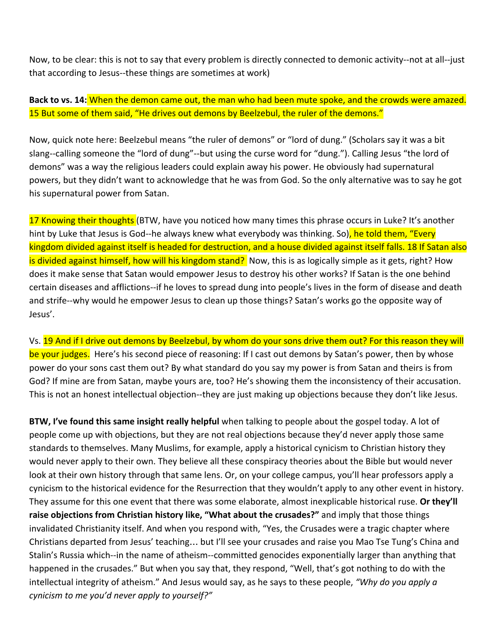Now, to be clear: this is not to say that every problem is directly connected to demonic activity--not at all--just that according to Jesus--these things are sometimes at work)

**Back to vs. 14:** When the demon came out, the man who had been mute spoke, and the crowds were amazed. 15 But some of them said, "He drives out demons by Beelzebul, the ruler of the demons."

Now, quick note here: Beelzebul means "the ruler of demons" or "lord of dung." (Scholars say it was a bit slang--calling someone the "lord of dung"--but using the curse word for "dung."). Calling Jesus "the lord of demons" was a way the religious leaders could explain away his power. He obviously had supernatural powers, but they didn't want to acknowledge that he was from God. So the only alternative was to say he got his supernatural power from Satan.

17 Knowing their thoughts (BTW, have you noticed how many times this phrase occurs in Luke? It's another hint by Luke that Jesus is God--he always knew what everybody was thinking. So), he told them, "Every kingdom divided against itself is headed for destruction, and a house divided against itself falls. 18 If Satan also is divided against himself, how will his kingdom stand? Now, this is as logically simple as it gets, right? How does it make sense that Satan would empower Jesus to destroy his other works? If Satan is the one behind certain diseases and afflictions--if he loves to spread dung into people's lives in the form of disease and death and strife--why would he empower Jesus to clean up those things? Satan's works go the opposite way of Jesus'.

Vs. 19 And if I drive out demons by Beelzebul, by whom do your sons drive them out? For this reason they will be your judges. Here's his second piece of reasoning: If I cast out demons by Satan's power, then by whose power do your sons cast them out? By what standard do you say my power is from Satan and theirs is from God? If mine are from Satan, maybe yours are, too? He's showing them the inconsistency of their accusation. This is not an honest intellectual objection--they are just making up objections because they don't like Jesus.

**BTW, I've found this same insight really helpful** when talking to people about the gospel today. A lot of people come up with objections, but they are not real objections because they'd never apply those same standards to themselves. Many Muslims, for example, apply a historical cynicism to Christian history they would never apply to their own. They believe all these conspiracy theories about the Bible but would never look at their own history through that same lens. Or, on your college campus, you'll hear professors apply a cynicism to the historical evidence for the Resurrection that they wouldn't apply to any other event in history. They assume for this one event that there was some elaborate, almost inexplicable historical ruse. **Or they'll raise objections from Christian history like, "What about the crusades?"** and imply that those things invalidated Christianity itself. And when you respond with, "Yes, the Crusades were a tragic chapter where Christians departed from Jesus' teaching… but I'll see your crusades and raise you Mao Tse Tung's China and Stalin's Russia which--in the name of atheism--committed genocides exponentially larger than anything that happened in the crusades." But when you say that, they respond, "Well, that's got nothing to do with the intellectual integrity of atheism." And Jesus would say, as he says to these people, *"Why do you apply a cynicism to me you'd never apply to yourself?"*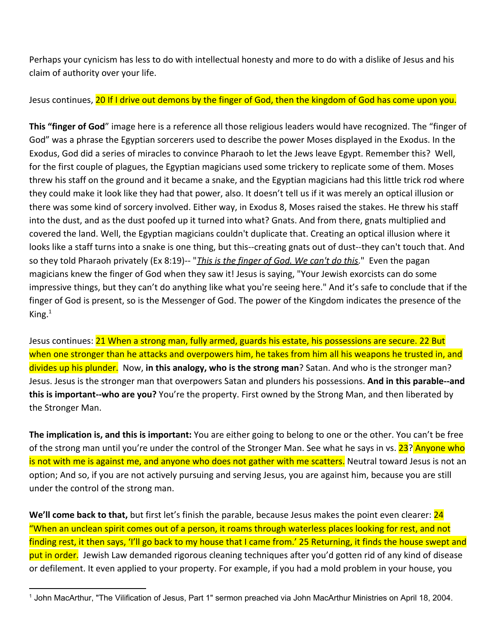Perhaps your cynicism has less to do with intellectual honesty and more to do with a dislike of Jesus and his claim of authority over your life.

Jesus continues, 20 If I drive out demons by the finger of God, then the kingdom of God has come upon you.

**This "finger of God**" image here is a reference all those religious leaders would have recognized. The "finger of God" was a phrase the Egyptian sorcerers used to describe the power Moses displayed in the Exodus. In the Exodus, God did a series of miracles to convince Pharaoh to let the Jews leave Egypt. Remember this? Well, for the first couple of plagues, the Egyptian magicians used some trickery to replicate some of them. Moses threw his staff on the ground and it became a snake, and the Egyptian magicians had this little trick rod where they could make it look like they had that power, also. It doesn't tell us if it was merely an optical illusion or there was some kind of sorcery involved. Either way, in Exodus 8, Moses raised the stakes. He threw his staff into the dust, and as the dust poofed up it turned into what? Gnats. And from there, gnats multiplied and covered the land. Well, the Egyptian magicians couldn't duplicate that. Creating an optical illusion where it looks like a staff turns into a snake is one thing, but this--creating gnats out of dust--they can't touch that. And so they told Pharaoh privately (Ex 8:19)-- "*This is the finger of God. We can't do this*." Even the pagan magicians knew the finger of God when they saw it! Jesus is saying, "Your Jewish exorcists can do some impressive things, but they can't do anything like what you're seeing here." And it's safe to conclude that if the finger of God is present, so is the Messenger of God. The power of the Kingdom indicates the presence of the King. $1$ 

Jesus continues: 21 When a strong man, fully armed, guards his estate, his possessions are secure. 22 But when one stronger than he attacks and overpowers him, he takes from him all his weapons he trusted in, and divides up his plunder. Now, **in this analogy, who is the strong man**? Satan. And who is the stronger man? Jesus. Jesus is the stronger man that overpowers Satan and plunders his possessions. **And in this parable--and this is important--who are you?** You're the property. First owned by the Strong Man, and then liberated by the Stronger Man.

**The implication is, and this is important:** You are either going to belong to one or the other. You can't be free of the strong man until you're under the control of the Stronger Man. See what he says in vs. 23? Anyone who is not with me is against me, and anyone who does not gather with me scatters. Neutral toward Jesus is not an option; And so, if you are not actively pursuing and serving Jesus, you are against him, because you are still under the control of the strong man.

**We'll come back to that,** but first let's finish the parable, because Jesus makes the point even clearer: 24 "When an unclean spirit comes out of a person, it roams through waterless places looking for rest, and not finding rest, it then says, 'I'll go back to my house that I came from.' 25 Returning, it finds the house swept and put in order. Jewish Law demanded rigorous cleaning techniques after you'd gotten rid of any kind of disease or defilement. It even applied to your property. For example, if you had a mold problem in your house, you

<sup>1</sup> John MacArthur, "The Vilification of Jesus, Part 1" sermon preached via John MacArthur Ministries on April 18, 2004.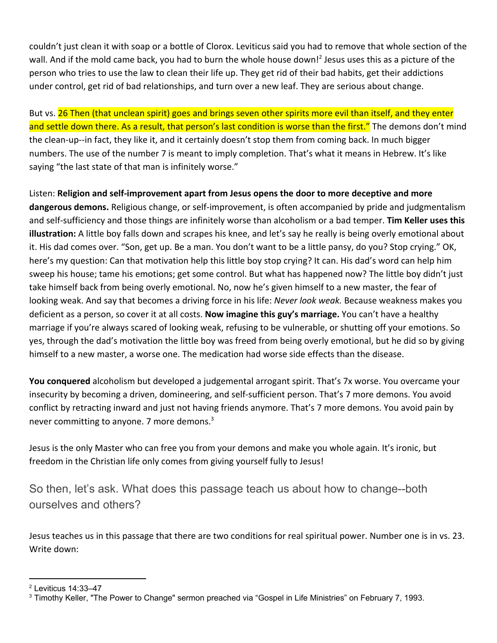couldn't just clean it with soap or a bottle of Clorox. Leviticus said you had to remove that whole section of the wall. And if the mold came back, you had to burn the whole house down!<sup>2</sup> Jesus uses this as a picture of the person who tries to use the law to clean their life up. They get rid of their bad habits, get their addictions under control, get rid of bad relationships, and turn over a new leaf. They are serious about change.

But vs. 26 Then (that unclean spirit) goes and brings seven other spirits more evil than itself, and they enter and settle down there. As a result, that person's last condition is worse than the first." The demons don't mind the clean-up--in fact, they like it, and it certainly doesn't stop them from coming back. In much bigger numbers. The use of the number 7 is meant to imply completion. That's what it means in Hebrew. It's like saying "the last state of that man is infinitely worse."

Listen: **Religion and self-improvement apart from Jesus opens the door to more deceptive and more dangerous demons.** Religious change, or self-improvement, is often accompanied by pride and judgmentalism and self-sufficiency and those things are infinitely worse than alcoholism or a bad temper. **Tim Keller uses this illustration:** A little boy falls down and scrapes his knee, and let's say he really is being overly emotional about it. His dad comes over. "Son, get up. Be a man. You don't want to be a little pansy, do you? Stop crying." OK, here's my question: Can that motivation help this little boy stop crying? It can. His dad's word can help him sweep his house; tame his emotions; get some control. But what has happened now? The little boy didn't just take himself back from being overly emotional. No, now he's given himself to a new master, the fear of looking weak. And say that becomes a driving force in his life: *Never look weak.* Because weakness makes you deficient as a person, so cover it at all costs. **Now imagine this guy's marriage.** You can't have a healthy marriage if you're always scared of looking weak, refusing to be vulnerable, or shutting off your emotions. So yes, through the dad's motivation the little boy was freed from being overly emotional, but he did so by giving himself to a new master, a worse one. The medication had worse side effects than the disease.

**You conquered** alcoholism but developed a judgemental arrogant spirit. That's 7x worse. You overcame your insecurity by becoming a driven, domineering, and self-sufficient person. That's 7 more demons. You avoid conflict by retracting inward and just not having friends anymore. That's 7 more demons. You avoid pain by never committing to anyone. 7 more demons.<sup>3</sup>

Jesus is the only Master who can free you from your demons and make you whole again. It's ironic, but freedom in the Christian life only comes from giving yourself fully to Jesus!

So then, let's ask. What does this passage teach us about how to change--both ourselves and others?

Jesus teaches us in this passage that there are two conditions for real spiritual power. Number one is in vs. 23. Write down:

<sup>2</sup> Leviticus 14:33–47

<sup>3</sup> Timothy Keller, "The Power to Change" sermon preached via "Gospel in Life Ministries" on February 7, 1993.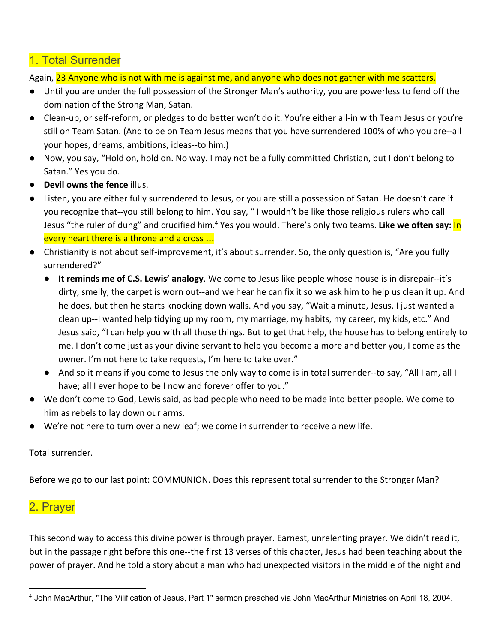## 1. Total Surrender

Again, 23 Anyone who is not with me is against me, and anyone who does not gather with me scatters.

- Until you are under the full possession of the Stronger Man's authority, you are powerless to fend off the domination of the Strong Man, Satan.
- Clean-up, or self-reform, or pledges to do better won't do it. You're either all-in with Team Jesus or you're still on Team Satan. (And to be on Team Jesus means that you have surrendered 100% of who you are--all your hopes, dreams, ambitions, ideas--to him.)
- Now, you say, "Hold on, hold on. No way. I may not be a fully committed Christian, but I don't belong to Satan." Yes you do.
- **Devil owns the fence** illus.
- Listen, you are either fully surrendered to Jesus, or you are still a possession of Satan. He doesn't care if you recognize that--you still belong to him. You say, " I wouldn't be like those religious rulers who call Jesus "the ruler of dung" and crucified him.<sup>4</sup> Yes you would. There's only two teams. Like we often say: In every heart there is a throne and a cross …
- Christianity is not about self-improvement, it's about surrender. So, the only question is, "Are you fully surrendered?"
	- **It reminds me of C.S. Lewis' analogy**. We come to Jesus like people whose house is in disrepair--it's dirty, smelly, the carpet is worn out--and we hear he can fix it so we ask him to help us clean it up. And he does, but then he starts knocking down walls. And you say, "Wait a minute, Jesus, I just wanted a clean up--I wanted help tidying up my room, my marriage, my habits, my career, my kids, etc." And Jesus said, "I can help you with all those things. But to get that help, the house has to belong entirely to me. I don't come just as your divine servant to help you become a more and better you, I come as the owner. I'm not here to take requests, I'm here to take over."
	- And so it means if you come to Jesus the only way to come is in total surrender--to say, "All I am, all I have; all I ever hope to be I now and forever offer to you."
- We don't come to God, Lewis said, as bad people who need to be made into better people. We come to him as rebels to lay down our arms.
- We're not here to turn over a new leaf; we come in surrender to receive a new life.

Total surrender.

Before we go to our last point: COMMUNION. Does this represent total surrender to the Stronger Man?

#### 2. Prayer

This second way to access this divine power is through prayer. Earnest, unrelenting prayer. We didn't read it, but in the passage right before this one--the first 13 verses of this chapter, Jesus had been teaching about the power of prayer. And he told a story about a man who had unexpected visitors in the middle of the night and

<sup>4</sup> John MacArthur, "The Vilification of Jesus, Part 1" sermon preached via John MacArthur Ministries on April 18, 2004.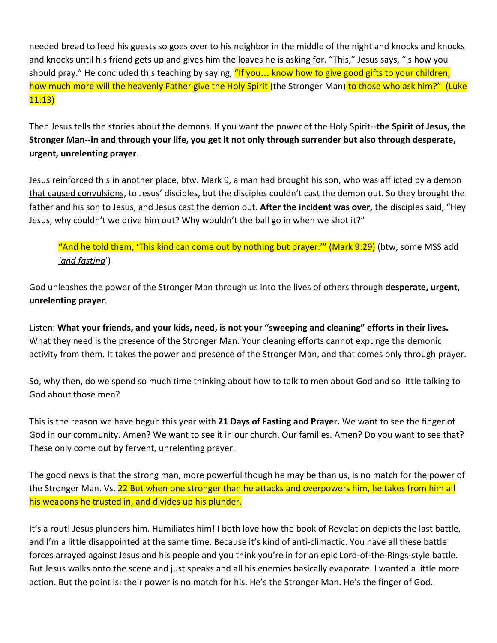needed bread to feed his guests so goes over to his neighbor in the middle of the night and knocks and knocks and knocks until his friend gets up and gives him the loaves he is asking for. "This," Jesus says, "is how you should pray." He concluded this teaching by saying, "If you... know how to give good gifts to your children, how much more will the heavenly Father give the Holy Spirit (the Stronger Man) to those who ask him?" (Luke 11:13)

Then Jesus tells the stories about the demons. If you want the power of the Holy Spirit--**the Spirit of Jesus, the Stronger Man--in and through your life, you get it not only through surrender but also through desperate, urgent, unrelenting prayer**.

Jesus reinforced this in another place, btw. Mark 9, a man had brought his son, who was afflicted by a demon that caused convulsions, to Jesus' disciples, but the disciples couldn't cast the demon out. So they brought the father and his son to Jesus, and Jesus cast the demon out. **After the incident was over,** the disciples said, "Hey Jesus, why couldn't we drive him out? Why wouldn't the ball go in when we shot it?"

"And he told them, 'This kind can come out by nothing but prayer.'" (Mark 9:29) (btw, some MSS add *'and fasting*')

God unleashes the power of the Stronger Man through us into the lives of others through **desperate, urgent, unrelenting prayer**.

Listen: **What your friends, and your kids, need, is not your "sweeping and cleaning" efforts in their lives.** What they need is the presence of the Stronger Man. Your cleaning efforts cannot expunge the demonic activity from them. It takes the power and presence of the Stronger Man, and that comes only through prayer.

So, why then, do we spend so much time thinking about how to talk to men about God and so little talking to God about those men?

This is the reason we have begun this year with **21 Days of Fasting and Prayer.** We want to see the finger of God in our community. Amen? We want to see it in our church. Our families. Amen? Do you want to see that? These only come out by fervent, unrelenting prayer.

The good news is that the strong man, more powerful though he may be than us, is no match for the power of the Stronger Man. Vs. 22 But when one stronger than he attacks and overpowers him, he takes from him all his weapons he trusted in, and divides up his plunder.

It's a rout! Jesus plunders him. Humiliates him! I both love how the book of Revelation depicts the last battle, and I'm a little disappointed at the same time. Because it's kind of anti-climactic. You have all these battle forces arrayed against Jesus and his people and you think you're in for an epic Lord-of-the-Rings-style battle. But Jesus walks onto the scene and just speaks and all his enemies basically evaporate. I wanted a little more action. But the point is: their power is no match for his. He's the Stronger Man. He's the finger of God.